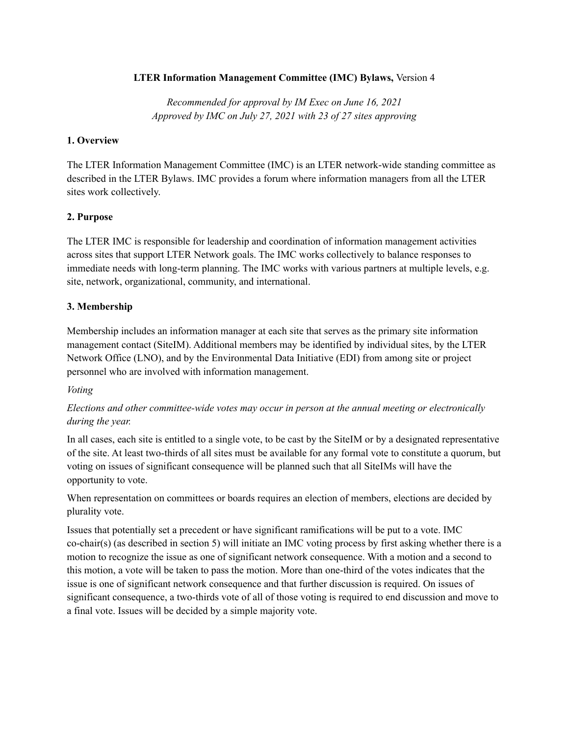### **LTER Information Management Committee (IMC) Bylaws,** Version 4

*Recommended for approval by IM Exec on June 16, 2021 Approved by IMC on July 27, 2021 with 23 of 27 sites approving*

#### **1. Overview**

The LTER Information Management Committee (IMC) is an LTER network-wide standing committee as described in the LTER Bylaws. IMC provides a forum where information managers from all the LTER sites work collectively.

## **2. Purpose**

The LTER IMC is responsible for leadership and coordination of information management activities across sites that support LTER Network goals. The IMC works collectively to balance responses to immediate needs with long-term planning. The IMC works with various partners at multiple levels, e.g. site, network, organizational, community, and international.

#### **3. Membership**

Membership includes an information manager at each site that serves as the primary site information management contact (SiteIM). Additional members may be identified by individual sites, by the LTER Network Office (LNO), and by the Environmental Data Initiative (EDI) from among site or project personnel who are involved with information management.

#### *Voting*

# *Elections and other committee-wide votes may occur in person at the annual meeting or electronically during the year.*

In all cases, each site is entitled to a single vote, to be cast by the SiteIM or by a designated representative of the site. At least two-thirds of all sites must be available for any formal vote to constitute a quorum, but voting on issues of significant consequence will be planned such that all SiteIMs will have the opportunity to vote.

When representation on committees or boards requires an election of members, elections are decided by plurality vote.

Issues that potentially set a precedent or have significant ramifications will be put to a vote. IMC co-chair(s) (as described in section 5) will initiate an IMC voting process by first asking whether there is a motion to recognize the issue as one of significant network consequence. With a motion and a second to this motion, a vote will be taken to pass the motion. More than one-third of the votes indicates that the issue is one of significant network consequence and that further discussion is required. On issues of significant consequence, a two-thirds vote of all of those voting is required to end discussion and move to a final vote. Issues will be decided by a simple majority vote.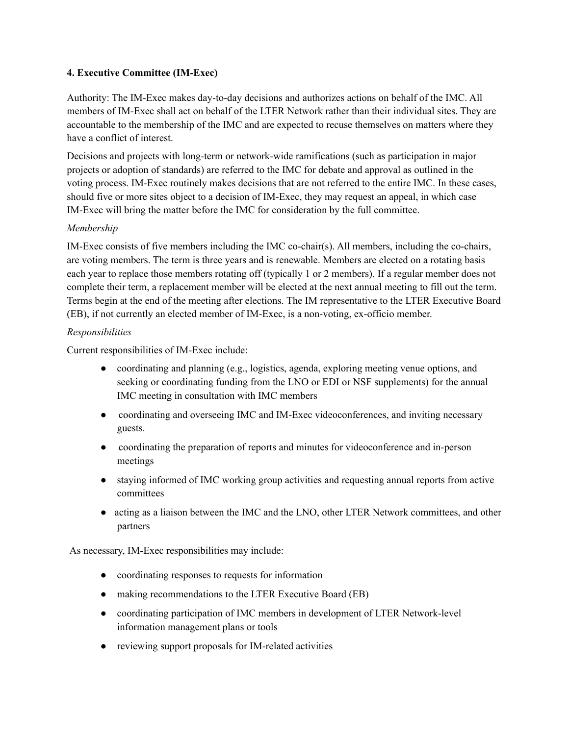## **4. Executive Committee (IM-Exec)**

Authority: The IM-Exec makes day-to-day decisions and authorizes actions on behalf of the IMC. All members of IM-Exec shall act on behalf of the LTER Network rather than their individual sites. They are accountable to the membership of the IMC and are expected to recuse themselves on matters where they have a conflict of interest.

Decisions and projects with long-term or network-wide ramifications (such as participation in major projects or adoption of standards) are referred to the IMC for debate and approval as outlined in the voting process. IM-Exec routinely makes decisions that are not referred to the entire IMC. In these cases, should five or more sites object to a decision of IM-Exec, they may request an appeal, in which case IM-Exec will bring the matter before the IMC for consideration by the full committee.

#### *Membership*

IM-Exec consists of five members including the IMC co-chair(s). All members, including the co-chairs, are voting members. The term is three years and is renewable. Members are elected on a rotating basis each year to replace those members rotating off (typically 1 or 2 members). If a regular member does not complete their term, a replacement member will be elected at the next annual meeting to fill out the term. Terms begin at the end of the meeting after elections. The IM representative to the LTER Executive Board (EB), if not currently an elected member of IM-Exec, is a non-voting, ex-officio member.

#### *Responsibilities*

Current responsibilities of IM-Exec include:

- coordinating and planning (e.g., logistics, agenda, exploring meeting venue options, and seeking or coordinating funding from the LNO or EDI or NSF supplements) for the annual IMC meeting in consultation with IMC members
- coordinating and overseeing IMC and IM-Exec videoconferences, and inviting necessary guests.
- coordinating the preparation of reports and minutes for videoconference and in-person meetings
- staying informed of IMC working group activities and requesting annual reports from active committees
- acting as a liaison between the IMC and the LNO, other LTER Network committees, and other partners

As necessary, IM-Exec responsibilities may include:

- coordinating responses to requests for information
- making recommendations to the LTER Executive Board (EB)
- coordinating participation of IMC members in development of LTER Network-level information management plans or tools
- reviewing support proposals for IM-related activities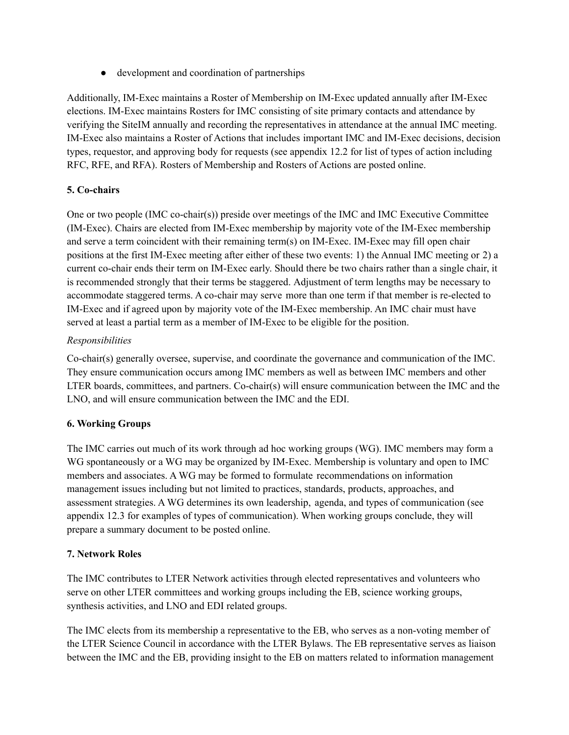• development and coordination of partnerships

Additionally, IM-Exec maintains a Roster of Membership on IM-Exec updated annually after IM-Exec elections. IM-Exec maintains Rosters for IMC consisting of site primary contacts and attendance by verifying the SiteIM annually and recording the representatives in attendance at the annual IMC meeting. IM-Exec also maintains a Roster of Actions that includes important IMC and IM-Exec decisions, decision types, requestor, and approving body for requests (see appendix 12.2 for list of types of action including RFC, RFE, and RFA). Rosters of Membership and Rosters of Actions are posted online.

# **5. Co-chairs**

One or two people (IMC co-chair(s)) preside over meetings of the IMC and IMC Executive Committee (IM-Exec). Chairs are elected from IM-Exec membership by majority vote of the IM-Exec membership and serve a term coincident with their remaining term(s) on IM-Exec. IM-Exec may fill open chair positions at the first IM-Exec meeting after either of these two events: 1) the Annual IMC meeting or 2) a current co-chair ends their term on IM-Exec early. Should there be two chairs rather than a single chair, it is recommended strongly that their terms be staggered. Adjustment of term lengths may be necessary to accommodate staggered terms. A co-chair may serve more than one term if that member is re-elected to IM-Exec and if agreed upon by majority vote of the IM-Exec membership. An IMC chair must have served at least a partial term as a member of IM-Exec to be eligible for the position.

# *Responsibilities*

Co-chair(s) generally oversee, supervise, and coordinate the governance and communication of the IMC. They ensure communication occurs among IMC members as well as between IMC members and other LTER boards, committees, and partners. Co-chair(s) will ensure communication between the IMC and the LNO, and will ensure communication between the IMC and the EDI.

# **6. Working Groups**

The IMC carries out much of its work through ad hoc working groups (WG). IMC members may form a WG spontaneously or a WG may be organized by IM-Exec. Membership is voluntary and open to IMC members and associates. A WG may be formed to formulate recommendations on information management issues including but not limited to practices, standards, products, approaches, and assessment strategies. A WG determines its own leadership, agenda, and types of communication (see appendix 12.3 for examples of types of communication). When working groups conclude, they will prepare a summary document to be posted online.

## **7. Network Roles**

The IMC contributes to LTER Network activities through elected representatives and volunteers who serve on other LTER committees and working groups including the EB, science working groups, synthesis activities, and LNO and EDI related groups.

The IMC elects from its membership a representative to the EB, who serves as a non-voting member of the LTER Science Council in accordance with the LTER Bylaws. The EB representative serves as liaison between the IMC and the EB, providing insight to the EB on matters related to information management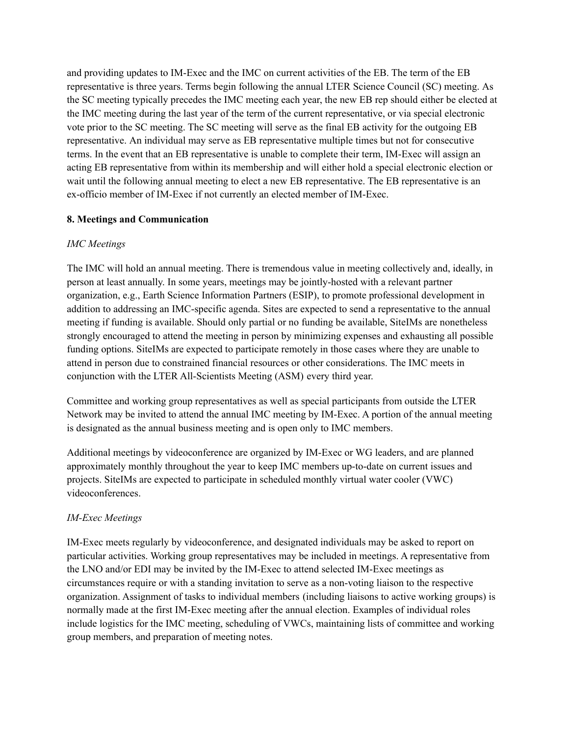and providing updates to IM-Exec and the IMC on current activities of the EB. The term of the EB representative is three years. Terms begin following the annual LTER Science Council (SC) meeting. As the SC meeting typically precedes the IMC meeting each year, the new EB rep should either be elected at the IMC meeting during the last year of the term of the current representative, or via special electronic vote prior to the SC meeting. The SC meeting will serve as the final EB activity for the outgoing EB representative. An individual may serve as EB representative multiple times but not for consecutive terms. In the event that an EB representative is unable to complete their term, IM-Exec will assign an acting EB representative from within its membership and will either hold a special electronic election or wait until the following annual meeting to elect a new EB representative. The EB representative is an ex-officio member of IM-Exec if not currently an elected member of IM-Exec.

## **8. Meetings and Communication**

## *IMC Meetings*

The IMC will hold an annual meeting. There is tremendous value in meeting collectively and, ideally, in person at least annually. In some years, meetings may be jointly-hosted with a relevant partner organization, e.g., Earth Science Information Partners (ESIP), to promote professional development in addition to addressing an IMC-specific agenda. Sites are expected to send a representative to the annual meeting if funding is available. Should only partial or no funding be available, SiteIMs are nonetheless strongly encouraged to attend the meeting in person by minimizing expenses and exhausting all possible funding options. SiteIMs are expected to participate remotely in those cases where they are unable to attend in person due to constrained financial resources or other considerations. The IMC meets in conjunction with the LTER All-Scientists Meeting (ASM) every third year.

Committee and working group representatives as well as special participants from outside the LTER Network may be invited to attend the annual IMC meeting by IM-Exec. A portion of the annual meeting is designated as the annual business meeting and is open only to IMC members.

Additional meetings by videoconference are organized by IM-Exec or WG leaders, and are planned approximately monthly throughout the year to keep IMC members up-to-date on current issues and projects. SiteIMs are expected to participate in scheduled monthly virtual water cooler (VWC) videoconferences.

# *IM-Exec Meetings*

IM-Exec meets regularly by videoconference, and designated individuals may be asked to report on particular activities. Working group representatives may be included in meetings. A representative from the LNO and/or EDI may be invited by the IM-Exec to attend selected IM-Exec meetings as circumstances require or with a standing invitation to serve as a non-voting liaison to the respective organization. Assignment of tasks to individual members (including liaisons to active working groups) is normally made at the first IM-Exec meeting after the annual election. Examples of individual roles include logistics for the IMC meeting, scheduling of VWCs, maintaining lists of committee and working group members, and preparation of meeting notes.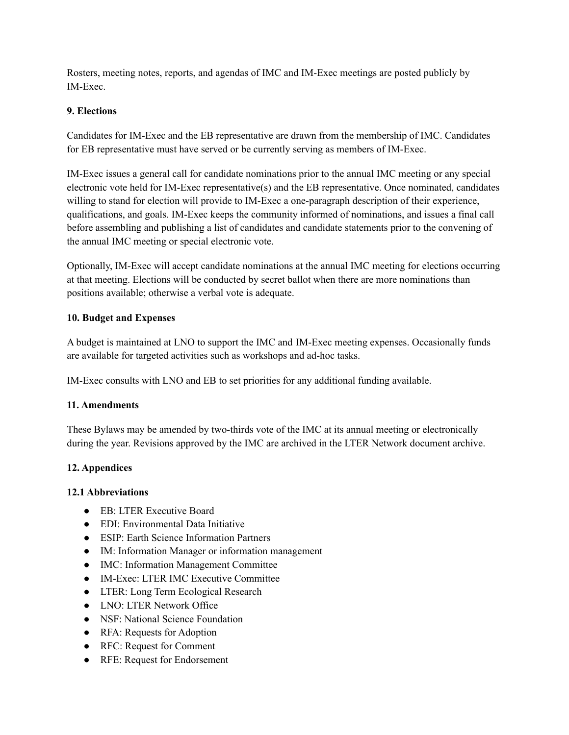Rosters, meeting notes, reports, and agendas of IMC and IM-Exec meetings are posted publicly by IM-Exec.

### **9. Elections**

Candidates for IM-Exec and the EB representative are drawn from the membership of IMC. Candidates for EB representative must have served or be currently serving as members of IM-Exec.

IM-Exec issues a general call for candidate nominations prior to the annual IMC meeting or any special electronic vote held for IM-Exec representative(s) and the EB representative. Once nominated, candidates willing to stand for election will provide to IM-Exec a one-paragraph description of their experience, qualifications, and goals. IM-Exec keeps the community informed of nominations, and issues a final call before assembling and publishing a list of candidates and candidate statements prior to the convening of the annual IMC meeting or special electronic vote.

Optionally, IM-Exec will accept candidate nominations at the annual IMC meeting for elections occurring at that meeting. Elections will be conducted by secret ballot when there are more nominations than positions available; otherwise a verbal vote is adequate.

#### **10. Budget and Expenses**

A budget is maintained at LNO to support the IMC and IM-Exec meeting expenses. Occasionally funds are available for targeted activities such as workshops and ad-hoc tasks.

IM-Exec consults with LNO and EB to set priorities for any additional funding available.

## **11. Amendments**

These Bylaws may be amended by two-thirds vote of the IMC at its annual meeting or electronically during the year. Revisions approved by the IMC are archived in the LTER Network document archive.

## **12. Appendices**

#### **12.1 Abbreviations**

- EB: LTER Executive Board
- EDI: Environmental Data Initiative
- ESIP: Earth Science Information Partners
- IM: Information Manager or information management
- IMC: Information Management Committee
- IM-Exec: LTER IMC Executive Committee
- LTER: Long Term Ecological Research
- LNO: LTER Network Office
- NSF: National Science Foundation
- RFA: Requests for Adoption
- RFC: Request for Comment
- RFE: Request for Endorsement